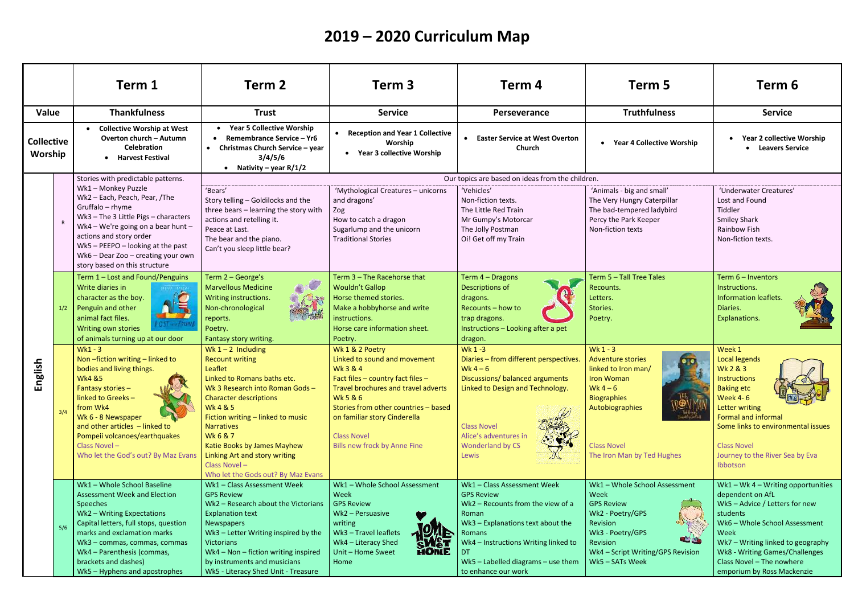|                              |     | Term 1                                                                                                                                                                                                                                                                                                      | Term 2                                                                                                                                                                                                                                                                                                                                                                              | Term 3                                                                                                                                                                                                                                                                                                   | Term 4                                                                                                                                                                                                                                                    | Term 5                                                                                                                                                                                                              | Term 6                                                                                                                                                                                                                                                                         |  |
|------------------------------|-----|-------------------------------------------------------------------------------------------------------------------------------------------------------------------------------------------------------------------------------------------------------------------------------------------------------------|-------------------------------------------------------------------------------------------------------------------------------------------------------------------------------------------------------------------------------------------------------------------------------------------------------------------------------------------------------------------------------------|----------------------------------------------------------------------------------------------------------------------------------------------------------------------------------------------------------------------------------------------------------------------------------------------------------|-----------------------------------------------------------------------------------------------------------------------------------------------------------------------------------------------------------------------------------------------------------|---------------------------------------------------------------------------------------------------------------------------------------------------------------------------------------------------------------------|--------------------------------------------------------------------------------------------------------------------------------------------------------------------------------------------------------------------------------------------------------------------------------|--|
| Value                        |     | <b>Thankfulness</b>                                                                                                                                                                                                                                                                                         | <b>Trust</b>                                                                                                                                                                                                                                                                                                                                                                        | <b>Service</b>                                                                                                                                                                                                                                                                                           | Perseverance                                                                                                                                                                                                                                              | <b>Truthfulness</b>                                                                                                                                                                                                 | <b>Service</b>                                                                                                                                                                                                                                                                 |  |
| <b>Collective</b><br>Worship |     | <b>Collective Worship at West</b><br>Overton church - Autumn<br><b>Celebration</b><br>• Harvest Festival                                                                                                                                                                                                    | <b>Year 5 Collective Worship</b><br>Remembrance Service - Yr6<br>Christmas Church Service - year<br>$\bullet$<br>3/4/5/6<br>• Nativity – year $R/1/2$                                                                                                                                                                                                                               | <b>Reception and Year 1 Collective</b><br>Worship<br><b>Year 3 collective Worship</b>                                                                                                                                                                                                                    | <b>Easter Service at West Overton</b><br>Church                                                                                                                                                                                                           | • Year 4 Collective Worship                                                                                                                                                                                         | <b>Year 2 collective Worship</b><br>• Leavers Service                                                                                                                                                                                                                          |  |
|                              |     | Stories with predictable patterns.                                                                                                                                                                                                                                                                          | Our topics are based on ideas from the children.                                                                                                                                                                                                                                                                                                                                    |                                                                                                                                                                                                                                                                                                          |                                                                                                                                                                                                                                                           |                                                                                                                                                                                                                     |                                                                                                                                                                                                                                                                                |  |
| nglish<br>ш                  |     | Wk1 - Monkey Puzzle<br>Wk2 - Each, Peach, Pear, /The<br>Gruffalo - rhyme<br>Wk3-The 3 Little Pigs-characters<br>Wk4 - We're going on a bear hunt -<br>actions and story order<br>Wk5 - PEEPO - looking at the past<br>Wk6 - Dear Zoo - creating your own<br>story based on this structure                   | 'Bears'<br>Story telling - Goldilocks and the<br>three bears - learning the story with<br>actions and retelling it.<br>Peace at Last.<br>The bear and the piano.<br>Can't you sleep little bear?                                                                                                                                                                                    | 'Mythological Creatures - unicorns<br>and dragons'<br>Zog<br>How to catch a dragon<br>Sugarlump and the unicorn<br><b>Traditional Stories</b>                                                                                                                                                            | 'Vehicles'<br>Non-fiction texts.<br>The Little Red Train<br>Mr Gumpy's Motorcar<br>The Jolly Postman<br>Oi! Get off my Train                                                                                                                              | 'Animals - big and small'<br>The Very Hungry Caterpillar<br>The bad-tempered ladybird<br>Percy the Park Keeper<br>Non-fiction texts                                                                                 | 'Underwater Creatures'<br>Lost and Found<br>Tiddler<br><b>Smiley Shark</b><br>Rainbow Fish<br>Non-fiction texts.                                                                                                                                                               |  |
|                              | 1/2 | Term 1 - Lost and Found/Penguins<br>Write diaries in<br>character as the boy.<br>Penguin and other<br>animal fact files.<br>Writing own stories<br>of animals turning up at our door                                                                                                                        | Term 2 - George's<br>$\infty$<br><b>Marvellous Medicine</b><br>Writing instructions.<br>Non-chronological<br>reports.<br>Poetry.<br>Fantasy story writing.                                                                                                                                                                                                                          | Term 3 - The Racehorse that<br><b>Wouldn't Gallop</b><br>Horse themed stories.<br>Make a hobbyhorse and write<br>instructions.<br>Horse care information sheet.<br>Poetry.                                                                                                                               | Term 4 - Dragons<br>Descriptions of<br>dragons.<br>Recounts - how to<br>trap dragons.<br>Instructions - Looking after a pet<br>dragon.                                                                                                                    | Term 5 - Tall Tree Tales<br>Recounts.<br>Letters.<br>Stories.<br>Poetry.                                                                                                                                            | Term 6 - Inventors<br>Instructions.<br>Information leaflets.<br>Diaries.<br>Explanations.                                                                                                                                                                                      |  |
|                              | 3/4 | $Wk1 - 3$<br>Non-fiction writing - linked to<br>bodies and living things.<br><b>Wk4 &amp;5</b><br>Fantasy stories -<br>linked to Greeks-<br>from Wk4<br>Wk 6 - 8 Newspaper<br>and other articles - linked to<br>Pompeii volcanoes/earthquakes<br>Class Novel -<br>Who let the God's out? By Maz Evans       | Wk $1 - 2$ Including<br><b>Recount writing</b><br>Leaflet<br>Linked to Romans baths etc.<br>Wk 3 Research into Roman Gods-<br><b>Character descriptions</b><br><b>Wk4&amp;5</b><br>Fiction writing - linked to music<br><b>Narratives</b><br><b>Wk6&amp;7</b><br>Katie Books by James Mayhew<br>Linking Art and story writing<br>Class Novel-<br>Who let the Gods out? By Maz Evans | Wk 1 & 2 Poetry<br>Linked to sound and movement<br><b>Wk3&amp;4</b><br>Fact files - country fact files -<br>Travel brochures and travel adverts<br><b>Wk5&amp;6</b><br>Stories from other countries - based<br>on familiar story Cinderella<br><b>Class Novel</b><br><b>Bills new frock by Anne Fine</b> | Wk 1-3<br>Diaries - from different perspectives.<br>Wk $4-6$<br>Discussions/ balanced arguments<br>Linked to Design and Technology.<br><b>Class Novel</b><br>Alice's adventures in<br><b>Wonderland by CS</b><br>Lewis                                    | Wk $1 - 3$<br><b>Adventure stories</b><br>linked to Iron man/<br><b>Iron Woman</b><br>Wk $4-6$<br><b>Biographies</b><br>Autobiographies<br><b>Class Novel</b><br>The Iron Man by Ted Hughes                         | Week 1<br><b>Local legends</b><br><b>Wk 2 &amp; 3</b><br>Instructions<br><b>Baking etc</b><br><b>Week 4-6</b><br>Letter writing<br><b>Formal and informal</b><br>Some links to environmental issues<br><b>Class Novel</b><br>Journey to the River Sea by Eva<br>Ibbotson       |  |
|                              | 5/6 | Wk1 - Whole School Baseline<br><b>Assessment Week and Election</b><br>Speeches<br>Wk2 - Writing Expectations<br>Capital letters, full stops, question<br>marks and exclamation marks<br>Wk3 - commas, commas, commas<br>Wk4 - Parenthesis (commas,<br>brackets and dashes)<br>Wk5 - Hyphens and apostrophes | Wk1 - Class Assessment Week<br><b>GPS Review</b><br>Wk2 - Research about the Victorians<br><b>Explanation text</b><br>Newspapers<br>Wk3 - Letter Writing inspired by the<br><b>Victorians</b><br>Wk4 - Non - fiction writing inspired<br>by instruments and musicians<br>Wk5 - Literacy Shed Unit - Treasure                                                                        | Wk1 - Whole School Assessment<br>Week<br><b>GPS Review</b><br>Wk2 - Persuasive<br>writing<br>Wk3 - Travel leaflets<br><b>PALE</b><br>Wk4 - Literacy Shed<br>HOME<br>Unit - Home Sweet<br>Home                                                                                                            | Wk1 - Class Assessment Week<br><b>GPS Review</b><br>Wk2 - Recounts from the view of a<br>Roman<br>Wk3 - Explanations text about the<br>Romans<br>Wk4 - Instructions Writing linked to<br>DT.<br>Wk5 - Labelled diagrams - use them<br>to enhance our work | Wk1 - Whole School Assessment<br>Week<br><b>GPS Review</b><br>Wk2 - Poetry/GPS<br>Revision<br>Wk3 - Poetry/GPS<br><b>and designation</b><br><b>Revision</b><br>Wk4 - Script Writing/GPS Revision<br>Wk5 - SATs Week | Wk1 - Wk4 - Writing opportunities<br>dependent on AfL<br>Wk5 - Advice / Letters for new<br>students<br>Wk6 - Whole School Assessment<br>Week<br>Wk7 - Writing linked to geography<br>Wk8 - Writing Games/Challenges<br>Class Novel - The nowhere<br>emporium by Ross Mackenzie |  |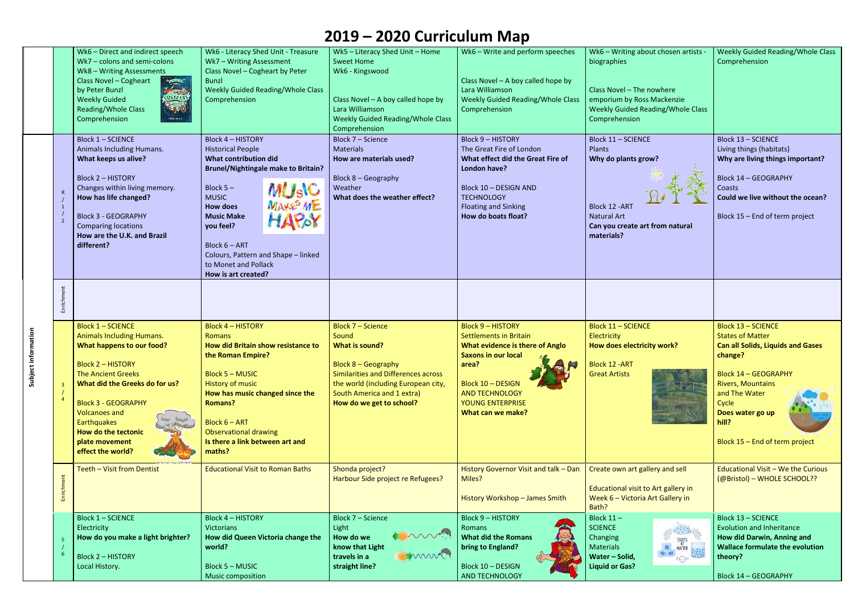|                        | Wk6 - Direct and indirect speech<br>Wk7 - colons and semi-colons<br>Wk8 - Writing Assessments<br>Class Novel - Cogheart<br>ا پ <del>یشتر</del><br>اما سکت<br>by Peter Bunzl<br>GREASA<br><b>Weekly Guided</b><br>$\mathcal{F}(\mathbf{y})$<br><b>Reading/Whole Class</b><br>Comprehension<br><b>FOOL P.H.</b>           | Wk6 - Literacy Shed Unit - Treasure<br>Wk7 - Writing Assessment<br>Class Novel - Cogheart by Peter<br><b>Bunzl</b><br><b>Weekly Guided Reading/Whole Class</b><br>Comprehension                                                                                                                                                                             | Wk5 - Literacy Shed Unit - Home<br><b>Sweet Home</b><br>Wk6 - Kingswood<br>Class Novel $-$ A boy called hope by<br>Lara Williamson<br>Weekly Guided Reading/Whole Class<br>Comprehension                           | Wk6 - Write and perform speeches<br>Class Novel - A boy called hope by<br>Lara Williamson<br>Weekly Guided Reading/Whole Class<br>Comprehension                                                                                          | Wk6 - Writing about chosen artists -<br>biographies<br>Class Novel - The nowhere<br>emporium by Ross Mackenzie<br>Weekly Guided Reading/Whole Class<br>Comprehension | Weekly Guided Reading/Whole Class<br>Comprehension                                                                                                                                                                                                              |
|------------------------|-------------------------------------------------------------------------------------------------------------------------------------------------------------------------------------------------------------------------------------------------------------------------------------------------------------------------|-------------------------------------------------------------------------------------------------------------------------------------------------------------------------------------------------------------------------------------------------------------------------------------------------------------------------------------------------------------|--------------------------------------------------------------------------------------------------------------------------------------------------------------------------------------------------------------------|------------------------------------------------------------------------------------------------------------------------------------------------------------------------------------------------------------------------------------------|----------------------------------------------------------------------------------------------------------------------------------------------------------------------|-----------------------------------------------------------------------------------------------------------------------------------------------------------------------------------------------------------------------------------------------------------------|
|                        | <b>Block 1 - SCIENCE</b><br>Animals Including Humans.<br>What keeps us alive?<br><b>Block 2 - HISTORY</b><br>Changes within living memory.<br>How has life changed?<br><b>Block 3 - GEOGRAPHY</b><br><b>Comparing locations</b><br>How are the U.K. and Brazil<br>different?                                            | <b>Block 4 - HISTORY</b><br><b>Historical People</b><br>What contribution did<br><b>Brunel/Nightingale make to Britain?</b><br><b>MUSIC</b><br>MAKE ME<br>Block $5-$<br><b>MUSIC</b><br><b>How does</b><br><b>Music Make</b><br>HAPOY<br>you feel?<br>Block $6 - ART$<br>Colours, Pattern and Shape - linked<br>to Monet and Pollack<br>How is art created? | Block 7 - Science<br><b>Materials</b><br>How are materials used?<br>Block 8 - Geography<br>Weather<br>What does the weather effect?                                                                                | <b>Block 9 - HISTORY</b><br>The Great Fire of London<br>What effect did the Great Fire of<br>London have?<br>Block 10 - DESIGN AND<br><b>TECHNOLOGY</b><br><b>Floating and Sinking</b><br>How do boats float?                            | <b>Block 11 - SCIENCE</b><br>Plants<br>Why do plants grow?<br>Block 12 - ART<br><b>Natural Art</b><br>Can you create art from natural<br>materials?                  | <b>Block 13 - SCIENCE</b><br>Living things (habitats)<br>Why are living things important?<br><b>Block 14 - GEOGRAPHY</b><br>Coasts<br>Could we live without the ocean?<br>Block 15 - End of term project                                                        |
|                        |                                                                                                                                                                                                                                                                                                                         |                                                                                                                                                                                                                                                                                                                                                             |                                                                                                                                                                                                                    |                                                                                                                                                                                                                                          |                                                                                                                                                                      |                                                                                                                                                                                                                                                                 |
| information<br>Subject | <b>Block 1 - SCIENCE</b><br><b>Animals Including Humans.</b><br>What happens to our food?<br><b>Block 2 - HISTORY</b><br><b>The Ancient Greeks</b><br>What did the Greeks do for us?<br><b>Block 3 - GEOGRAPHY</b><br><b>Volcanoes and</b><br>Earthquakes<br>How do the tectonic<br>plate movement<br>effect the world? | <b>Block 4 - HISTORY</b><br><b>Romans</b><br>How did Britain show resistance to<br>the Roman Empire?<br><b>Block 5 - MUSIC</b><br>History of music<br>How has music changed since the<br><b>Romans?</b><br><b>Block 6 - ART</b><br><b>Observational drawing</b><br>Is there a link between art and<br>maths?                                                | Block 7 - Science<br>Sound<br>What is sound?<br>Block 8 – Geography<br><b>Similarities and Differences across</b><br>the world (including European city,<br>South America and 1 extra)<br>How do we get to school? | <b>Block 9 - HISTORY</b><br><b>Settlements in Britain</b><br><b>What evidence is there of Anglo</b><br><b>Saxons in our local</b><br>area?<br><b>Block 10 - DESIGN</b><br><b>AND TECHNOLOGY</b><br>YOUNG ENTERPRISE<br>What can we make? | <b>Block 11 - SCIENCE</b><br>Electricity<br>How does electricity work?<br>Block 12 -ART<br><b>Great Artists</b>                                                      | <b>Block 13 - SCIENCE</b><br><b>States of Matter</b><br><b>Can all Solids, Liquids and Gases</b><br>change?<br><b>Block 14 - GEOGRAPHY</b><br><b>Rivers, Mountains</b><br>and The Water<br>Cycle<br>Does water go up<br>hill?<br>Block 15 - End of term project |
|                        | Teeth - Visit from Dentist                                                                                                                                                                                                                                                                                              | <b>Educational Visit to Roman Baths</b>                                                                                                                                                                                                                                                                                                                     | Shonda project?<br>Harbour Side project re Refugees?                                                                                                                                                               | History Governor Visit and talk - Dan<br>Miles?<br>History Workshop - James Smith                                                                                                                                                        | Create own art gallery and sell<br>Educational visit to Art gallery in<br>Week 6 - Victoria Art Gallery in<br>Bath?                                                  | <b>Educational Visit - We the Curious</b><br>(@Bristol) - WHOLE SCHOOL??                                                                                                                                                                                        |
|                        | <b>Block 1 - SCIENCE</b><br>Electricity<br>How do you make a light brighter?<br><b>Block 2 - HISTORY</b><br>Local History.                                                                                                                                                                                              | <b>Block 4 - HISTORY</b><br><b>Victorians</b><br>How did Queen Victoria change the<br>world?<br><b>Block 5 - MUSIC</b><br><b>Music composition</b>                                                                                                                                                                                                          | Block 7 - Science<br>Light<br><b>Comment</b><br>How do we<br>know that Light<br>min<br>travels in a<br>straight line?                                                                                              | <b>Block 9 - HISTORY</b><br>Romans<br><b>What did the Romans</b><br>bring to England?<br>Block 10 - DESIGN<br>AND TECHNOLOGY                                                                                                             | Block $11 -$<br><b>SCIENCE</b><br>Changing<br>STATES OF BUSINESS<br><b>Materials</b><br>Water - Solid,<br><b>Liquid or Gas?</b>                                      | <b>Block 13 - SCIENCE</b><br><b>Evolution and Inheritance</b><br>How did Darwin, Anning and<br><b>Wallace formulate the evolution</b><br>theory?<br><b>Block 14 - GEOGRAPHY</b>                                                                                 |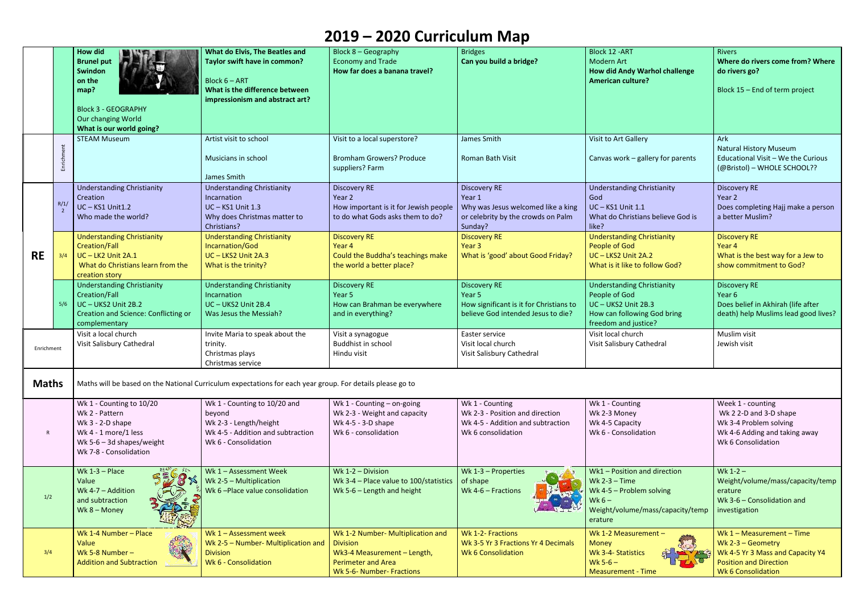|              |     | <b>How did</b><br><b>Brunel put</b><br>Swindon<br>on the<br>map?<br><b>Block 3 - GEOGRAPHY</b><br>Our changing World<br>What is our world going?  | What do Elvis, The Beatles and<br>Taylor swift have in common?<br>Block 6 - ART<br>What is the difference between<br>impressionism and abstract art? | Block 8 - Geography<br><b>Economy and Trade</b><br>How far does a banana travel?                                                              | <b>Bridges</b><br>Can you build a bridge?                                                                                 | Block 12 - ART<br><b>Modern Art</b><br>How did Andy Warhol challenge<br><b>American culture?</b>                                      | <b>Rivers</b><br>Where do rivers come from? Where<br>do rivers go?<br>Block 15 - End of term project                                                 |  |
|--------------|-----|---------------------------------------------------------------------------------------------------------------------------------------------------|------------------------------------------------------------------------------------------------------------------------------------------------------|-----------------------------------------------------------------------------------------------------------------------------------------------|---------------------------------------------------------------------------------------------------------------------------|---------------------------------------------------------------------------------------------------------------------------------------|------------------------------------------------------------------------------------------------------------------------------------------------------|--|
|              |     | <b>STEAM Museum</b>                                                                                                                               | Artist visit to school<br>Musicians in school<br>James Smith                                                                                         | Visit to a local superstore?<br><b>Bromham Growers? Produce</b><br>suppliers? Farm                                                            | James Smith<br><b>Roman Bath Visit</b>                                                                                    | Visit to Art Gallery<br>Canvas work - gallery for parents                                                                             | Ark<br><b>Natural History Museum</b><br>Educational Visit - We the Curious<br>(@Bristol) - WHOLE SCHOOL??                                            |  |
| <b>RE</b>    | R/1 | <b>Understanding Christianity</b><br>Creation<br>UC-KS1 Unit1.2<br>Who made the world?                                                            | <b>Understanding Christianity</b><br>Incarnation<br>UC-KS1 Unit 1.3<br>Why does Christmas matter to<br>Christians?                                   | <b>Discovery RE</b><br>Year 2<br>How important is it for Jewish people<br>to do what Gods asks them to do?                                    | <b>Discovery RE</b><br>Year 1<br>Why was Jesus welcomed like a king<br>or celebrity by the crowds on Palm<br>Sunday?      | <b>Understanding Christianity</b><br>God<br><b>UC-KS1 Unit 1.1</b><br>What do Christians believe God is<br>like?                      | <b>Discovery RE</b><br>Year 2<br>Does completing Hajj make a person<br>a better Muslim?                                                              |  |
|              | 3/4 | <b>Understanding Christianity</b><br><b>Creation/Fall</b><br>UC-LK2 Unit 2A.1<br>What do Christians learn from the<br>creation story              | <b>Understanding Christianity</b><br>Incarnation/God<br>UC-LKS2 Unit 2A.3<br>What is the trinity?                                                    | <b>Discovery RE</b><br>Year 4<br>Could the Buddha's teachings make<br>the world a better place?                                               | <b>Discovery RE</b><br>Year <sub>3</sub><br>What is 'good' about Good Friday?                                             | <b>Understanding Christianity</b><br>People of God<br>UC-LKS2 Unit 2A.2<br>What is it like to follow God?                             | <b>Discovery RE</b><br>Year 4<br>What is the best way for a Jew to<br>show commitment to God?                                                        |  |
|              | 5/6 | <b>Understanding Christianity</b><br>Creation/Fall<br>UC-UKS2 Unit 2B.2<br><b>Creation and Science: Conflicting or</b><br>complementary           | <b>Understanding Christianity</b><br>Incarnation<br>UC-UKS2 Unit 2B.4<br>Was Jesus the Messiah?                                                      | <b>Discovery RE</b><br>Year 5<br>How can Brahman be everywhere<br>and in everything?                                                          | <b>Discovery RE</b><br>Year <sub>5</sub><br>How significant is it for Christians to<br>believe God intended Jesus to die? | <b>Understanding Christianity</b><br>People of God<br>UC-UKS2 Unit 2B.3<br>How can following God bring<br>freedom and justice?        | <b>Discovery RE</b><br>Year 6<br>Does belief in Akhirah (life after<br>death) help Muslims lead good lives?                                          |  |
| Enrichment   |     | Visit a local church<br>Visit Salisbury Cathedral                                                                                                 | Invite Maria to speak about the<br>trinity.<br>Christmas plays<br>Christmas service                                                                  | Visit a synagogue<br>Buddhist in school<br>Hindu visit                                                                                        | Easter service<br>Visit local church<br>Visit Salisbury Cathedral                                                         | Visit local church<br>Visit Salisbury Cathedral                                                                                       | Muslim visit<br>Jewish visit                                                                                                                         |  |
| <b>Maths</b> |     | Maths will be based on the National Curriculum expectations for each year group. For details please go to                                         |                                                                                                                                                      |                                                                                                                                               |                                                                                                                           |                                                                                                                                       |                                                                                                                                                      |  |
| $\mathsf{R}$ |     | Wk 1 - Counting to 10/20<br>Wk 2 - Pattern<br>Wk $3 - 2-D$ shape<br>Wk 4 - 1 more/1 less<br>Wk 5-6 $-$ 3d shapes/weight<br>Wk 7-8 - Consolidation | Wk 1 - Counting to 10/20 and<br>beyond<br>Wk 2-3 - Length/height<br>Wk 4-5 - Addition and subtraction<br>Wk 6 - Consolidation                        | Wk 1 - Counting - on-going<br>Wk 2-3 - Weight and capacity<br>Wk 4-5 - 3-D shape<br>Wk 6 - consolidation                                      | Wk 1 - Counting<br>Wk 2-3 - Position and direction<br>Wk 4-5 - Addition and subtraction<br>Wk 6 consolidation             | Wk 1 - Counting<br>Wk 2-3 Money<br>Wk 4-5 Capacity<br>Wk 6 - Consolidation                                                            | Week 1 - counting<br>Wk 2 2-D and 3-D shape<br>Wk 3-4 Problem solving<br>Wk 4-6 Adding and taking away<br>Wk 6 Consolidation                         |  |
| 1/2          |     | Wk $1-3$ – Place<br>Value<br>Wk 4-7 - Addition<br>and subtraction<br>Wk $8 -$ Money                                                               | Wk 1 - Assessment Week<br>Wk $2-5$ - Multiplication<br>Wk 6-Place value consolidation                                                                | Wk 1-2 - Division<br>Wk 3-4 - Place value to 100/statistics<br>Wk 5-6 - Length and height                                                     | Wk $1-3$ – Properties<br>of shape<br>Wk 4-6 - Fractions                                                                   | Wk1 - Position and direction<br>Wk $2-3 - Time$<br>Wk 4-5 - Problem solving<br>Wk $6-$<br>Weight/volume/mass/capacity/temp<br>erature | $Wk 1-2 -$<br>Weight/volume/mass/capacity/temp<br>erature<br>Wk 3-6 - Consolidation and<br>investigation                                             |  |
| 3/4          |     | Wk 1-4 Number - Place<br>Value<br>Wk 5-8 Number-<br><b>Addition and Subtraction</b>                                                               | Wk 1 - Assessment week<br>Wk 2-5 - Number- Multiplication and<br><b>Division</b><br>Wk 6 - Consolidation                                             | Wk 1-2 Number- Multiplication and<br><b>Division</b><br>Wk3-4 Measurement - Length,<br><b>Perimeter and Area</b><br>Wk 5-6- Number- Fractions | Wk 1-2- Fractions<br>Wk 3-5 Yr 3 Fractions Yr 4 Decimals<br><b>Wk 6 Consolidation</b>                                     | Wk 1-2 Measurement -<br><b>Money</b><br>Wk 3-4- Statistics<br>$Wk 5-6 -$<br><b>Measurement - Time</b>                                 | Wk $1 - Measurement - Time$<br>Wk $2-3$ – Geometry<br>Wk 4-5 Yr 3 Mass and Capacity Y4<br><b>Position and Direction</b><br><b>Wk 6 Consolidation</b> |  |